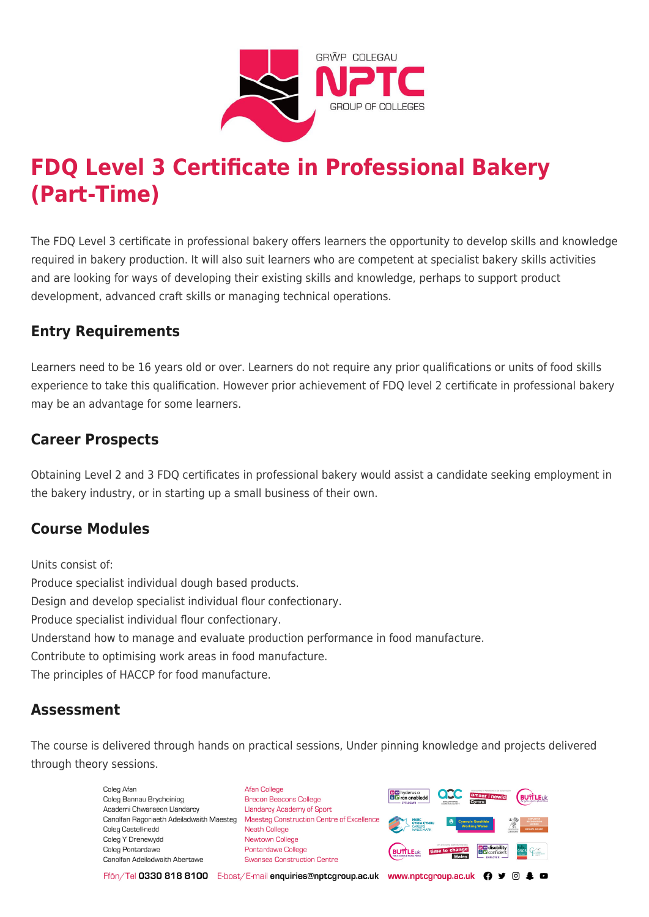

# **FDQ Level 3 Certificate in Professional Bakery (Part-Time)**

The FDQ Level 3 certificate in professional bakery offers learners the opportunity to develop skills and knowledge required in bakery production. It will also suit learners who are competent at specialist bakery skills activities and are looking for ways of developing their existing skills and knowledge, perhaps to support product development, advanced craft skills or managing technical operations.

#### **Entry Requirements**

Learners need to be 16 years old or over. Learners do not require any prior qualifications or units of food skills experience to take this qualification. However prior achievement of FDQ level 2 certificate in professional bakery may be an advantage for some learners.

### **Career Prospects**

Obtaining Level 2 and 3 FDQ certificates in professional bakery would assist a candidate seeking employment in the bakery industry, or in starting up a small business of their own.

## **Course Modules**

Units consist of: Produce specialist individual dough based products. Design and develop specialist individual flour confectionary. Produce specialist individual flour confectionary. Understand how to manage and evaluate production performance in food manufacture. Contribute to optimising work areas in food manufacture. The principles of HACCP for food manufacture.

#### **Assessment**

The course is delivered through hands on practical sessions, Under pinning knowledge and projects delivered through theory sessions.

> Coleg Afar Coleg Bannau Brycheiniog Academi Chwaraeon Llandarcy Coleg Castell-nedd Coleg Y Drenewydd Coleg Pontardawe Canolfan Adeiladwaith Abertawe

**Afan College** Brecon Beacons College **Llandarcy Academy of Sport** Canolfan Ragoriaeth Adeiladwaith Maesteg Maesteg Construction Centre of Excellence Neath College Newtown College Pontardawe College Swansea Construction Centre



Ffôn/Tel 0330 818 8100 E-bost/E-mail enquiries@nptcgroup.ac.uk www.nptcgroup.ac.uk ? • © \$